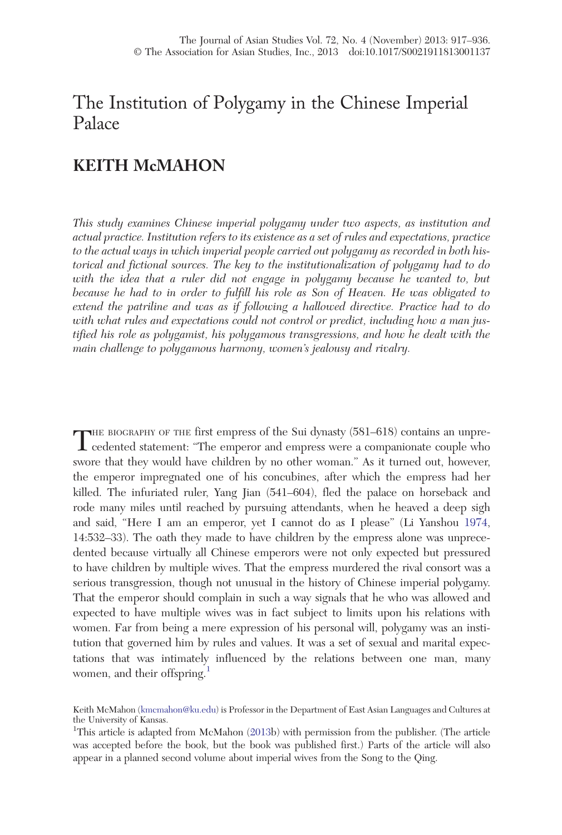# The Institution of Polygamy in the Chinese Imperial

## KEITH McMAHON

This study examines Chinese imperial polygamy under two aspects, as institution and actual practice. Institution refers to its existence as a set of rules and expectations, practice to the actual ways in which imperial people carried out polygamy as recorded in both historical and fictional sources. The key to the institutionalization of polygamy had to do with the idea that a ruler did not engage in polygamy because he wanted to, but because he had to in order to fulfill his role as Son of Heaven. He was obligated to extend the patriline and was as if following a hallowed directive. Practice had to do with what rules and expectations could not control or predict, including how a man justified his role as polygamist, his polygamous transgressions, and how he dealt with the main challenge to polygamous harmony, women's jealousy and rivalry.

THE BIOGRAPHY OF THE first empress of the Sui dynasty (581–618) contains an unpre-cedented statement: "The emperor and empress were a companionate couple who swore that they would have children by no other woman." As it turned out, however, the emperor impregnated one of his concubines, after which the empress had her killed. The infuriated ruler, Yang Jian (541–604), fled the palace on horseback and rode many miles until reached by pursuing attendants, when he heaved a deep sigh and said, "Here I am an emperor, yet I cannot do as I please" (Li Yanshou [1974](#page-17-0), 14:532–33). The oath they made to have children by the empress alone was unprecedented because virtually all Chinese emperors were not only expected but pressured to have children by multiple wives. That the empress murdered the rival consort was a serious transgression, though not unusual in the history of Chinese imperial polygamy. That the emperor should complain in such a way signals that he who was allowed and expected to have multiple wives was in fact subject to limits upon his relations with women. Far from being a mere expression of his personal will, polygamy was an institution that governed him by rules and values. It was a set of sexual and marital expectations that was intimately influenced by the relations between one man, many women, and their offspring.<sup>1</sup>

Keith McMahon [\(kmcmahon@ku.edu](mailto:kmcmahon@ku.edu)) is Professor in the Department of East Asian Languages and Cultures at the University of Kansas.

<sup>&</sup>lt;sup>1</sup>This article is adapted from McMahon ([2013b](#page-18-0)) with permission from the publisher. (The article was accepted before the book, but the book was published first.) Parts of the article will also appear in a planned second volume about imperial wives from the Song to the Qing.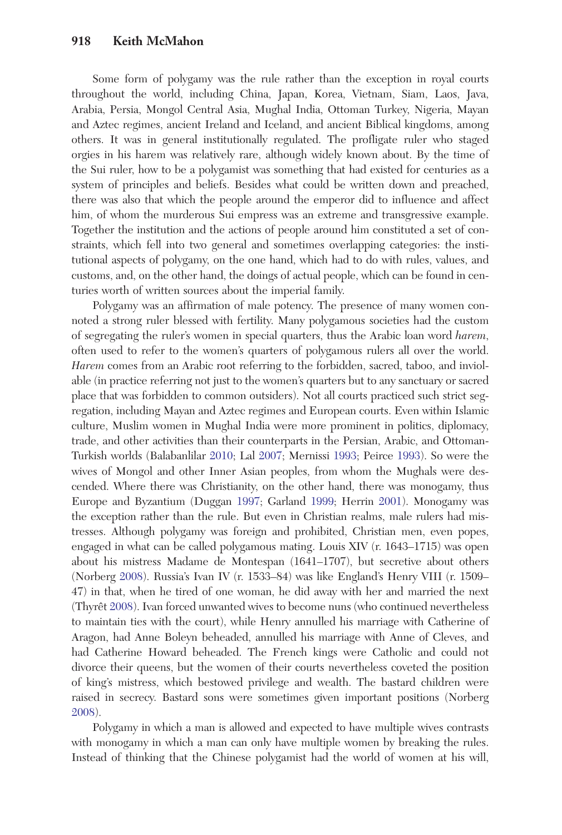Some form of polygamy was the rule rather than the exception in royal courts throughout the world, including China, Japan, Korea, Vietnam, Siam, Laos, Java, Arabia, Persia, Mongol Central Asia, Mughal India, Ottoman Turkey, Nigeria, Mayan and Aztec regimes, ancient Ireland and Iceland, and ancient Biblical kingdoms, among others. It was in general institutionally regulated. The profligate ruler who staged orgies in his harem was relatively rare, although widely known about. By the time of the Sui ruler, how to be a polygamist was something that had existed for centuries as a system of principles and beliefs. Besides what could be written down and preached, there was also that which the people around the emperor did to influence and affect him, of whom the murderous Sui empress was an extreme and transgressive example. Together the institution and the actions of people around him constituted a set of constraints, which fell into two general and sometimes overlapping categories: the institutional aspects of polygamy, on the one hand, which had to do with rules, values, and customs, and, on the other hand, the doings of actual people, which can be found in centuries worth of written sources about the imperial family.

Polygamy was an affirmation of male potency. The presence of many women connoted a strong ruler blessed with fertility. Many polygamous societies had the custom of segregating the ruler's women in special quarters, thus the Arabic loan word harem, often used to refer to the women's quarters of polygamous rulers all over the world. Harem comes from an Arabic root referring to the forbidden, sacred, taboo, and inviolable (in practice referring not just to the women's quarters but to any sanctuary or sacred place that was forbidden to common outsiders). Not all courts practiced such strict segregation, including Mayan and Aztec regimes and European courts. Even within Islamic culture, Muslim women in Mughal India were more prominent in politics, diplomacy, trade, and other activities than their counterparts in the Persian, Arabic, and Ottoman-Turkish worlds (Balabanlilar [2010;](#page-17-0) Lal [2007](#page-17-0); Mernissi [1993;](#page-18-0) Peirce [1993\)](#page-18-0). So were the wives of Mongol and other Inner Asian peoples, from whom the Mughals were descended. Where there was Christianity, on the other hand, there was monogamy, thus Europe and Byzantium (Duggan [1997](#page-17-0); Garland [1999;](#page-17-0) Herrin [2001\)](#page-17-0). Monogamy was the exception rather than the rule. But even in Christian realms, male rulers had mistresses. Although polygamy was foreign and prohibited, Christian men, even popes, engaged in what can be called polygamous mating. Louis XIV (r. 1643–1715) was open about his mistress Madame de Montespan (1641–1707), but secretive about others (Norberg [2008](#page-18-0)). Russia's Ivan IV (r. 1533–84) was like England's Henry VIII (r. 1509– 47) in that, when he tired of one woman, he did away with her and married the next (Thyrêt [2008\)](#page-18-0). Ivan forced unwanted wives to become nuns (who continued nevertheless to maintain ties with the court), while Henry annulled his marriage with Catherine of Aragon, had Anne Boleyn beheaded, annulled his marriage with Anne of Cleves, and had Catherine Howard beheaded. The French kings were Catholic and could not divorce their queens, but the women of their courts nevertheless coveted the position of king's mistress, which bestowed privilege and wealth. The bastard children were raised in secrecy. Bastard sons were sometimes given important positions (Norberg [2008\)](#page-18-0).

Polygamy in which a man is allowed and expected to have multiple wives contrasts with monogamy in which a man can only have multiple women by breaking the rules. Instead of thinking that the Chinese polygamist had the world of women at his will,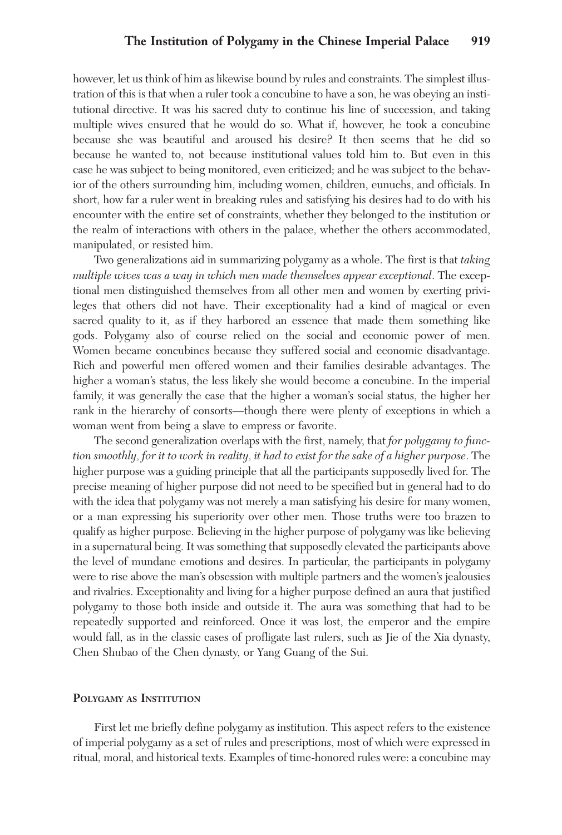however, let us think of him as likewise bound by rules and constraints. The simplest illustration of this is that when a ruler took a concubine to have a son, he was obeying an institutional directive. It was his sacred duty to continue his line of succession, and taking multiple wives ensured that he would do so. What if, however, he took a concubine because she was beautiful and aroused his desire? It then seems that he did so because he wanted to, not because institutional values told him to. But even in this case he was subject to being monitored, even criticized; and he was subject to the behavior of the others surrounding him, including women, children, eunuchs, and officials. In short, how far a ruler went in breaking rules and satisfying his desires had to do with his encounter with the entire set of constraints, whether they belonged to the institution or the realm of interactions with others in the palace, whether the others accommodated, manipulated, or resisted him.

Two generalizations aid in summarizing polygamy as a whole. The first is that taking multiple wives was a way in which men made themselves appear exceptional. The exceptional men distinguished themselves from all other men and women by exerting privileges that others did not have. Their exceptionality had a kind of magical or even sacred quality to it, as if they harbored an essence that made them something like gods. Polygamy also of course relied on the social and economic power of men. Women became concubines because they suffered social and economic disadvantage. Rich and powerful men offered women and their families desirable advantages. The higher a woman's status, the less likely she would become a concubine. In the imperial family, it was generally the case that the higher a woman's social status, the higher her rank in the hierarchy of consorts—though there were plenty of exceptions in which a woman went from being a slave to empress or favorite.

The second generalization overlaps with the first, namely, that for polygamy to function smoothly, for it to work in reality, it had to exist for the sake of a higher purpose. The higher purpose was a guiding principle that all the participants supposedly lived for. The precise meaning of higher purpose did not need to be specified but in general had to do with the idea that polygamy was not merely a man satisfying his desire for many women, or a man expressing his superiority over other men. Those truths were too brazen to qualify as higher purpose. Believing in the higher purpose of polygamy was like believing in a supernatural being. It was something that supposedly elevated the participants above the level of mundane emotions and desires. In particular, the participants in polygamy were to rise above the man's obsession with multiple partners and the women's jealousies and rivalries. Exceptionality and living for a higher purpose defined an aura that justified polygamy to those both inside and outside it. The aura was something that had to be repeatedly supported and reinforced. Once it was lost, the emperor and the empire would fall, as in the classic cases of profligate last rulers, such as Jie of the Xia dynasty, Chen Shubao of the Chen dynasty, or Yang Guang of the Sui.

## POLYGAMY AS INSTITUTION

First let me briefly define polygamy as institution. This aspect refers to the existence of imperial polygamy as a set of rules and prescriptions, most of which were expressed in ritual, moral, and historical texts. Examples of time-honored rules were: a concubine may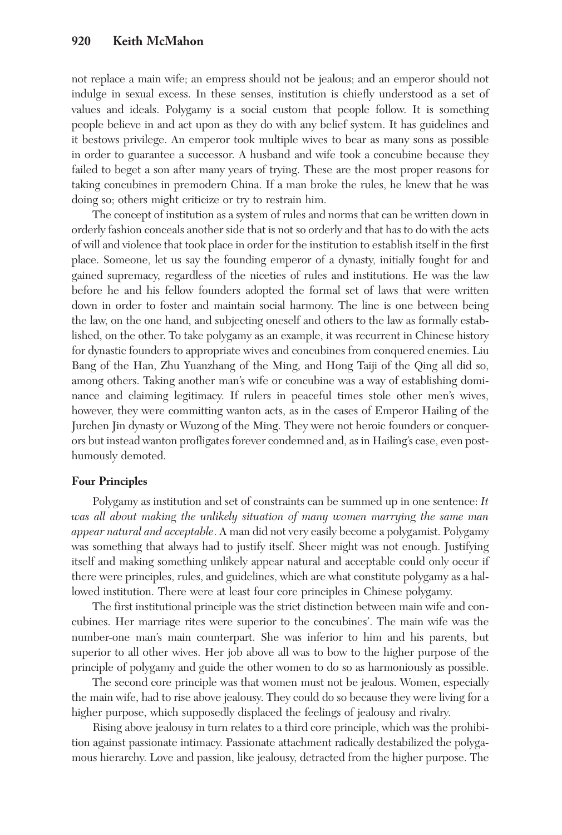not replace a main wife; an empress should not be jealous; and an emperor should not indulge in sexual excess. In these senses, institution is chiefly understood as a set of values and ideals. Polygamy is a social custom that people follow. It is something people believe in and act upon as they do with any belief system. It has guidelines and it bestows privilege. An emperor took multiple wives to bear as many sons as possible in order to guarantee a successor. A husband and wife took a concubine because they failed to beget a son after many years of trying. These are the most proper reasons for taking concubines in premodern China. If a man broke the rules, he knew that he was doing so; others might criticize or try to restrain him.

The concept of institution as a system of rules and norms that can be written down in orderly fashion conceals another side that is not so orderly and that has to do with the acts of will and violence that took place in order for the institution to establish itself in the first place. Someone, let us say the founding emperor of a dynasty, initially fought for and gained supremacy, regardless of the niceties of rules and institutions. He was the law before he and his fellow founders adopted the formal set of laws that were written down in order to foster and maintain social harmony. The line is one between being the law, on the one hand, and subjecting oneself and others to the law as formally established, on the other. To take polygamy as an example, it was recurrent in Chinese history for dynastic founders to appropriate wives and concubines from conquered enemies. Liu Bang of the Han, Zhu Yuanzhang of the Ming, and Hong Taiji of the Qing all did so, among others. Taking another man's wife or concubine was a way of establishing dominance and claiming legitimacy. If rulers in peaceful times stole other men's wives, however, they were committing wanton acts, as in the cases of Emperor Hailing of the Jurchen Jin dynasty or Wuzong of the Ming. They were not heroic founders or conquerors but instead wanton profligates forever condemned and, as in Hailing's case, even posthumously demoted.

## Four Principles

Polygamy as institution and set of constraints can be summed up in one sentence: It was all about making the unlikely situation of many women marrying the same man appear natural and acceptable. A man did not very easily become a polygamist. Polygamy was something that always had to justify itself. Sheer might was not enough. Justifying itself and making something unlikely appear natural and acceptable could only occur if there were principles, rules, and guidelines, which are what constitute polygamy as a hallowed institution. There were at least four core principles in Chinese polygamy.

The first institutional principle was the strict distinction between main wife and concubines. Her marriage rites were superior to the concubines'. The main wife was the number-one man's main counterpart. She was inferior to him and his parents, but superior to all other wives. Her job above all was to bow to the higher purpose of the principle of polygamy and guide the other women to do so as harmoniously as possible.

The second core principle was that women must not be jealous. Women, especially the main wife, had to rise above jealousy. They could do so because they were living for a higher purpose, which supposedly displaced the feelings of jealousy and rivalry.

Rising above jealousy in turn relates to a third core principle, which was the prohibition against passionate intimacy. Passionate attachment radically destabilized the polygamous hierarchy. Love and passion, like jealousy, detracted from the higher purpose. The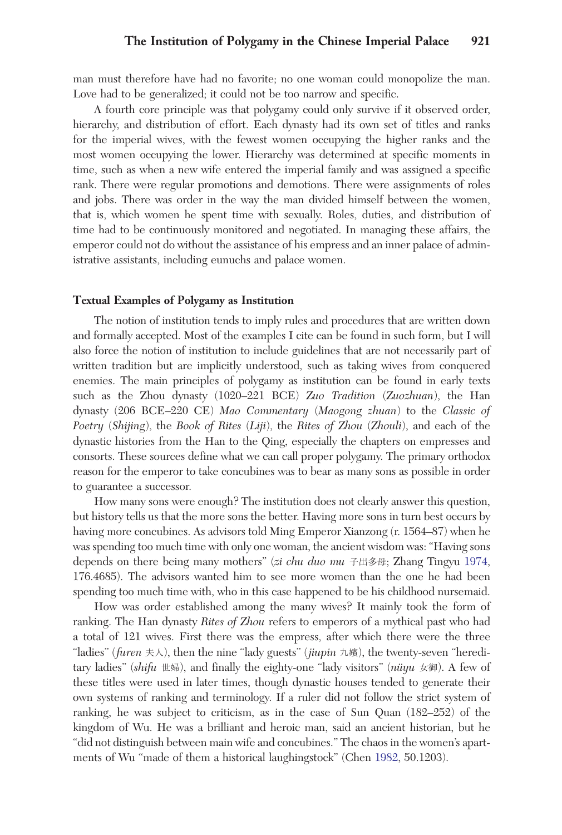man must therefore have had no favorite; no one woman could monopolize the man. Love had to be generalized; it could not be too narrow and specific.

A fourth core principle was that polygamy could only survive if it observed order, hierarchy, and distribution of effort. Each dynasty had its own set of titles and ranks for the imperial wives, with the fewest women occupying the higher ranks and the most women occupying the lower. Hierarchy was determined at specific moments in time, such as when a new wife entered the imperial family and was assigned a specific rank. There were regular promotions and demotions. There were assignments of roles and jobs. There was order in the way the man divided himself between the women, that is, which women he spent time with sexually. Roles, duties, and distribution of time had to be continuously monitored and negotiated. In managing these affairs, the emperor could not do without the assistance of his empress and an inner palace of administrative assistants, including eunuchs and palace women.

#### Textual Examples of Polygamy as Institution

The notion of institution tends to imply rules and procedures that are written down and formally accepted. Most of the examples I cite can be found in such form, but I will also force the notion of institution to include guidelines that are not necessarily part of written tradition but are implicitly understood, such as taking wives from conquered enemies. The main principles of polygamy as institution can be found in early texts such as the Zhou dynasty (1020–221 BCE) Zuo Tradition (Zuozhuan), the Han dynasty (206 BCE–220 CE) Mao Commentary (Maogong zhuan) to the Classic of Poetry (Shijing), the Book of Rites  $(Liii)$ , the Rites of Zhou (Zhouli), and each of the dynastic histories from the Han to the Qing, especially the chapters on empresses and consorts. These sources define what we can call proper polygamy. The primary orthodox reason for the emperor to take concubines was to bear as many sons as possible in order to guarantee a successor.

How many sons were enough? The institution does not clearly answer this question, but history tells us that the more sons the better. Having more sons in turn best occurs by having more concubines. As advisors told Ming Emperor Xianzong (r. 1564–87) when he was spending too much time with only one woman, the ancient wisdom was: "Having sons depends on there being many mothers" (zi chu duo mu 子出多母; Zhang Tingyu [1974](#page-19-0), 176.4685). The advisors wanted him to see more women than the one he had been spending too much time with, who in this case happened to be his childhood nursemaid.

How was order established among the many wives? It mainly took the form of ranking. The Han dynasty Rites of Zhou refers to emperors of a mythical past who had a total of 121 wives. First there was the empress, after which there were the three "ladies" (furen  $\pm \lambda$ ), then the nine "lady guests" (jupin  $\pm \xi$ ), the twenty-seven "hereditary ladies" (shifu 世婦), and finally the eighty-one "lady visitors" (nüyu 女御). A few of these titles were used in later times, though dynastic houses tended to generate their own systems of ranking and terminology. If a ruler did not follow the strict system of ranking, he was subject to criticism, as in the case of Sun Quan (182–252) of the kingdom of Wu. He was a brilliant and heroic man, said an ancient historian, but he "did not distinguish between main wife and concubines." The chaos in the women's apartments of Wu "made of them a historical laughingstock" (Chen [1982](#page-17-0), 50.1203).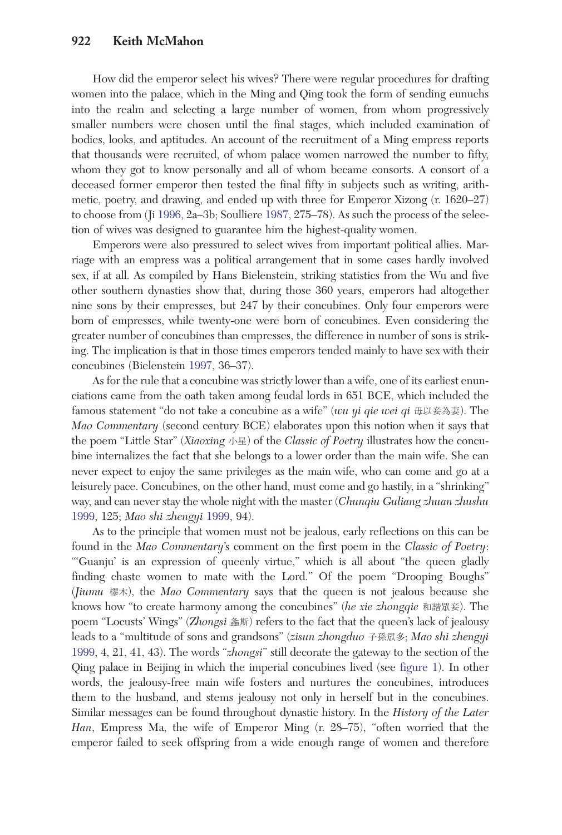## 922 Keith McMahon

How did the emperor select his wives? There were regular procedures for drafting women into the palace, which in the Ming and Qing took the form of sending eunuchs into the realm and selecting a large number of women, from whom progressively smaller numbers were chosen until the final stages, which included examination of bodies, looks, and aptitudes. An account of the recruitment of a Ming empress reports that thousands were recruited, of whom palace women narrowed the number to fifty, whom they got to know personally and all of whom became consorts. A consort of a deceased former emperor then tested the final fifty in subjects such as writing, arithmetic, poetry, and drawing, and ended up with three for Emperor Xizong (r. 1620–27) to choose from (Ji [1996](#page-17-0), 2a–3b; Soulliere [1987,](#page-18-0) 275–78). As such the process of the selection of wives was designed to guarantee him the highest-quality women.

Emperors were also pressured to select wives from important political allies. Marriage with an empress was a political arrangement that in some cases hardly involved sex, if at all. As compiled by Hans Bielenstein, striking statistics from the Wu and five other southern dynasties show that, during those 360 years, emperors had altogether nine sons by their empresses, but 247 by their concubines. Only four emperors were born of empresses, while twenty-one were born of concubines. Even considering the greater number of concubines than empresses, the difference in number of sons is striking. The implication is that in those times emperors tended mainly to have sex with their concubines (Bielenstein [1997,](#page-17-0) 36–37).

As for the rule that a concubine was strictly lower than a wife, one of its earliest enunciations came from the oath taken among feudal lords in 651 BCE, which included the famous statement "do not take a concubine as a wife" (wu yi qie wei qi 母以妾為妻). The Mao Commentary (second century BCE) elaborates upon this notion when it says that the poem "Little Star" (Xiaoxing 小星) of the Classic of Poetry illustrates how the concubine internalizes the fact that she belongs to a lower order than the main wife. She can never expect to enjoy the same privileges as the main wife, who can come and go at a leisurely pace. Concubines, on the other hand, must come and go hastily, in a "shrinking" way, and can never stay the whole night with the master (Chunqiu Guliang zhuan zhushu [1999,](#page-17-0) 125; Mao shi zhengyi [1999](#page-18-0), 94).

As to the principle that women must not be jealous, early reflections on this can be found in the Mao Commentary's comment on the first poem in the Classic of Poetry: "'Guanju' is an expression of queenly virtue," which is all about "the queen gladly finding chaste women to mate with the Lord." Of the poem "Drooping Boughs"  $(jiumu \ \mathcal{B}^*)$ , the Mao Commentary says that the queen is not jealous because she knows how "to create harmony among the concubines" (he xie zhongqie 和諧眾妾). The poem "Locusts' Wings" (Zhongsi 螽斯) refers to the fact that the queen's lack of jealousy leads to a "multitude of sons and grandsons" (zisun zhongduo 子孫眾多; Mao shi zhengyi [1999,](#page-18-0) 4, 21, 41, 43). The words "zhongsi" still decorate the gateway to the section of the Qing palace in Beijing in which the imperial concubines lived (see [figure 1\)](#page-6-0). In other words, the jealousy-free main wife fosters and nurtures the concubines, introduces them to the husband, and stems jealousy not only in herself but in the concubines. Similar messages can be found throughout dynastic history. In the History of the Later Han, Empress Ma, the wife of Emperor Ming (r. 28–75), "often worried that the emperor failed to seek offspring from a wide enough range of women and therefore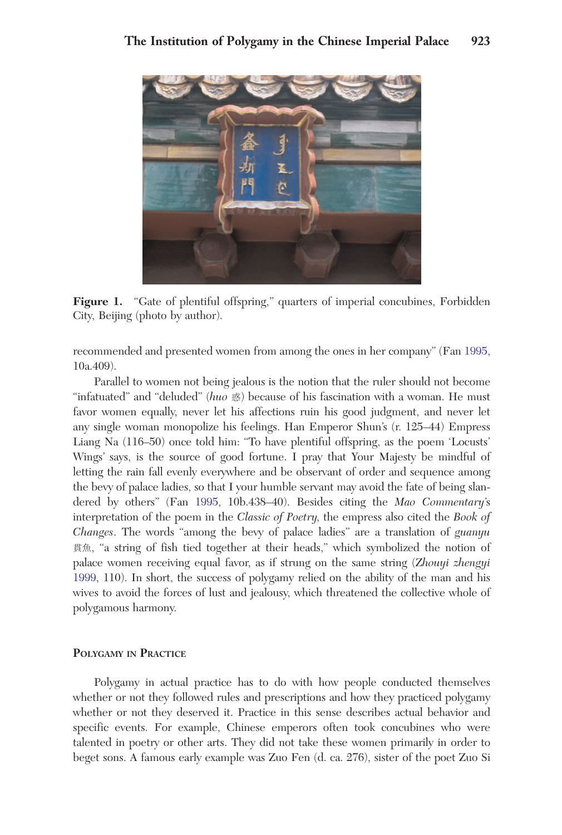<span id="page-6-0"></span>

Figure 1. "Gate of plentiful offspring," quarters of imperial concubines, Forbidden City, Beijing (photo by author).

recommended and presented women from among the ones in her company" (Fan [1995](#page-17-0), 10a.409).

Parallel to women not being jealous is the notion that the ruler should not become "infatuated" and "deluded" (huo 惑) because of his fascination with a woman. He must favor women equally, never let his affections ruin his good judgment, and never let any single woman monopolize his feelings. Han Emperor Shun's (r. 125–44) Empress Liang Na (116–50) once told him: "To have plentiful offspring, as the poem 'Locusts' Wings' says, is the source of good fortune. I pray that Your Majesty be mindful of letting the rain fall evenly everywhere and be observant of order and sequence among the bevy of palace ladies, so that I your humble servant may avoid the fate of being slandered by others" (Fan [1995](#page-17-0), 10b.438–40). Besides citing the Mao Commentary's interpretation of the poem in the Classic of Poetry, the empress also cited the Book of Changes. The words "among the bevy of palace ladies" are a translation of guanyu 貫魚, "a string of fish tied together at their heads," which symbolized the notion of palace women receiving equal favor, as if strung on the same string (Zhouyi zhengyi [1999,](#page-19-0) 110). In short, the success of polygamy relied on the ability of the man and his wives to avoid the forces of lust and jealousy, which threatened the collective whole of polygamous harmony.

## POLYGAMY IN PRACTICE

Polygamy in actual practice has to do with how people conducted themselves whether or not they followed rules and prescriptions and how they practiced polygamy whether or not they deserved it. Practice in this sense describes actual behavior and specific events. For example, Chinese emperors often took concubines who were talented in poetry or other arts. They did not take these women primarily in order to beget sons. A famous early example was Zuo Fen (d. ca. 276), sister of the poet Zuo Si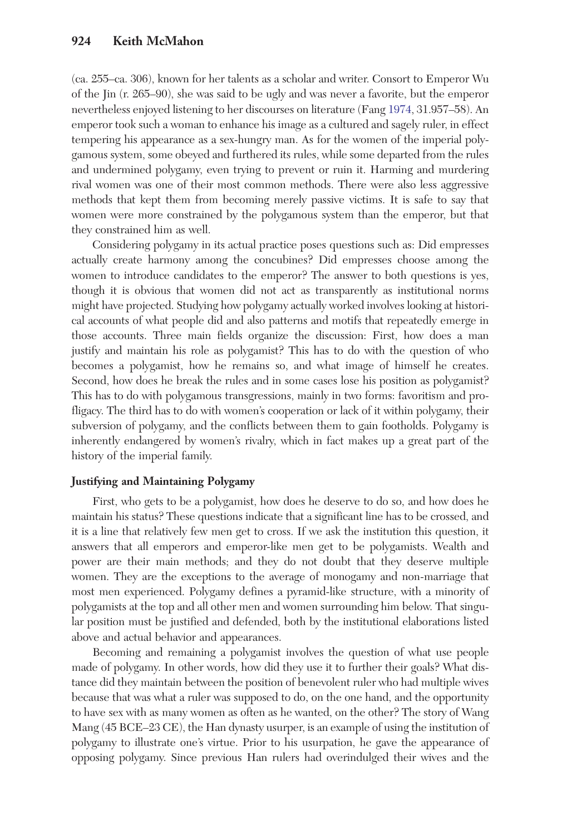(ca. 255–ca. 306), known for her talents as a scholar and writer. Consort to Emperor Wu of the Jin (r. 265–90), she was said to be ugly and was never a favorite, but the emperor nevertheless enjoyed listening to her discourses on literature (Fang [1974,](#page-17-0) 31.957–58). An emperor took such a woman to enhance his image as a cultured and sagely ruler, in effect tempering his appearance as a sex-hungry man. As for the women of the imperial polygamous system, some obeyed and furthered its rules, while some departed from the rules and undermined polygamy, even trying to prevent or ruin it. Harming and murdering rival women was one of their most common methods. There were also less aggressive methods that kept them from becoming merely passive victims. It is safe to say that women were more constrained by the polygamous system than the emperor, but that they constrained him as well.

Considering polygamy in its actual practice poses questions such as: Did empresses actually create harmony among the concubines? Did empresses choose among the women to introduce candidates to the emperor? The answer to both questions is yes, though it is obvious that women did not act as transparently as institutional norms might have projected. Studying how polygamy actually worked involves looking at historical accounts of what people did and also patterns and motifs that repeatedly emerge in those accounts. Three main fields organize the discussion: First, how does a man justify and maintain his role as polygamist? This has to do with the question of who becomes a polygamist, how he remains so, and what image of himself he creates. Second, how does he break the rules and in some cases lose his position as polygamist? This has to do with polygamous transgressions, mainly in two forms: favoritism and profligacy. The third has to do with women's cooperation or lack of it within polygamy, their subversion of polygamy, and the conflicts between them to gain footholds. Polygamy is inherently endangered by women's rivalry, which in fact makes up a great part of the history of the imperial family.

## Justifying and Maintaining Polygamy

First, who gets to be a polygamist, how does he deserve to do so, and how does he maintain his status? These questions indicate that a significant line has to be crossed, and it is a line that relatively few men get to cross. If we ask the institution this question, it answers that all emperors and emperor-like men get to be polygamists. Wealth and power are their main methods; and they do not doubt that they deserve multiple women. They are the exceptions to the average of monogamy and non-marriage that most men experienced. Polygamy defines a pyramid-like structure, with a minority of polygamists at the top and all other men and women surrounding him below. That singular position must be justified and defended, both by the institutional elaborations listed above and actual behavior and appearances.

Becoming and remaining a polygamist involves the question of what use people made of polygamy. In other words, how did they use it to further their goals? What distance did they maintain between the position of benevolent ruler who had multiple wives because that was what a ruler was supposed to do, on the one hand, and the opportunity to have sex with as many women as often as he wanted, on the other? The story of Wang Mang (45 BCE–23 CE), the Han dynasty usurper, is an example of using the institution of polygamy to illustrate one's virtue. Prior to his usurpation, he gave the appearance of opposing polygamy. Since previous Han rulers had overindulged their wives and the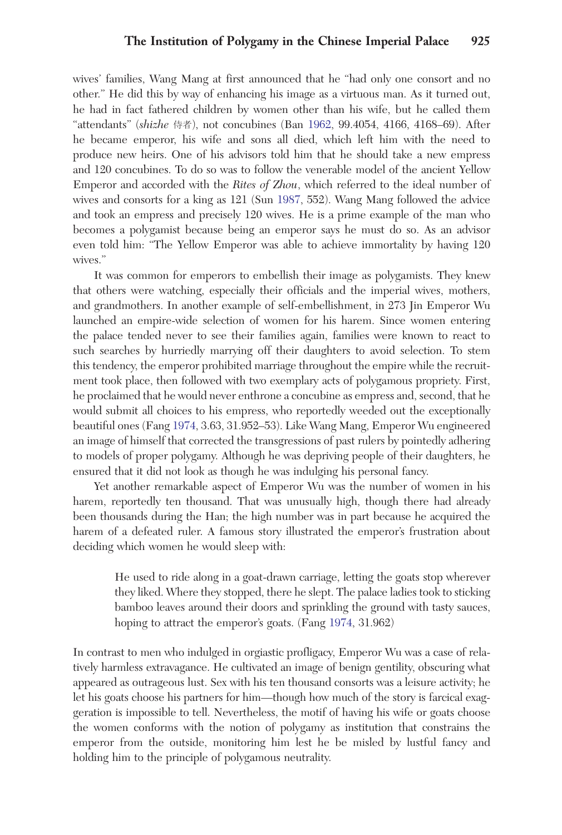wives' families, Wang Mang at first announced that he "had only one consort and no other." He did this by way of enhancing his image as a virtuous man. As it turned out, he had in fact fathered children by women other than his wife, but he called them "attendants" (shizhe 侍者), not concubines (Ban [1962,](#page-17-0) 99.4054, 4166, 4168–69). After he became emperor, his wife and sons all died, which left him with the need to produce new heirs. One of his advisors told him that he should take a new empress and 120 concubines. To do so was to follow the venerable model of the ancient Yellow Emperor and accorded with the Rites of Zhou, which referred to the ideal number of wives and consorts for a king as 121 (Sun [1987](#page-18-0), 552). Wang Mang followed the advice and took an empress and precisely 120 wives. He is a prime example of the man who becomes a polygamist because being an emperor says he must do so. As an advisor even told him: "The Yellow Emperor was able to achieve immortality by having 120 wives."

It was common for emperors to embellish their image as polygamists. They knew that others were watching, especially their officials and the imperial wives, mothers, and grandmothers. In another example of self-embellishment, in 273 Jin Emperor Wu launched an empire-wide selection of women for his harem. Since women entering the palace tended never to see their families again, families were known to react to such searches by hurriedly marrying off their daughters to avoid selection. To stem this tendency, the emperor prohibited marriage throughout the empire while the recruitment took place, then followed with two exemplary acts of polygamous propriety. First, he proclaimed that he would never enthrone a concubine as empress and, second, that he would submit all choices to his empress, who reportedly weeded out the exceptionally beautiful ones (Fang [1974,](#page-17-0) 3.63, 31.952–53). Like Wang Mang, Emperor Wu engineered an image of himself that corrected the transgressions of past rulers by pointedly adhering to models of proper polygamy. Although he was depriving people of their daughters, he ensured that it did not look as though he was indulging his personal fancy.

Yet another remarkable aspect of Emperor Wu was the number of women in his harem, reportedly ten thousand. That was unusually high, though there had already been thousands during the Han; the high number was in part because he acquired the harem of a defeated ruler. A famous story illustrated the emperor's frustration about deciding which women he would sleep with:

He used to ride along in a goat-drawn carriage, letting the goats stop wherever they liked. Where they stopped, there he slept. The palace ladies took to sticking bamboo leaves around their doors and sprinkling the ground with tasty sauces, hoping to attract the emperor's goats. (Fang [1974,](#page-17-0) 31.962)

In contrast to men who indulged in orgiastic profligacy, Emperor Wu was a case of relatively harmless extravagance. He cultivated an image of benign gentility, obscuring what appeared as outrageous lust. Sex with his ten thousand consorts was a leisure activity; he let his goats choose his partners for him—though how much of the story is farcical exaggeration is impossible to tell. Nevertheless, the motif of having his wife or goats choose the women conforms with the notion of polygamy as institution that constrains the emperor from the outside, monitoring him lest he be misled by lustful fancy and holding him to the principle of polygamous neutrality.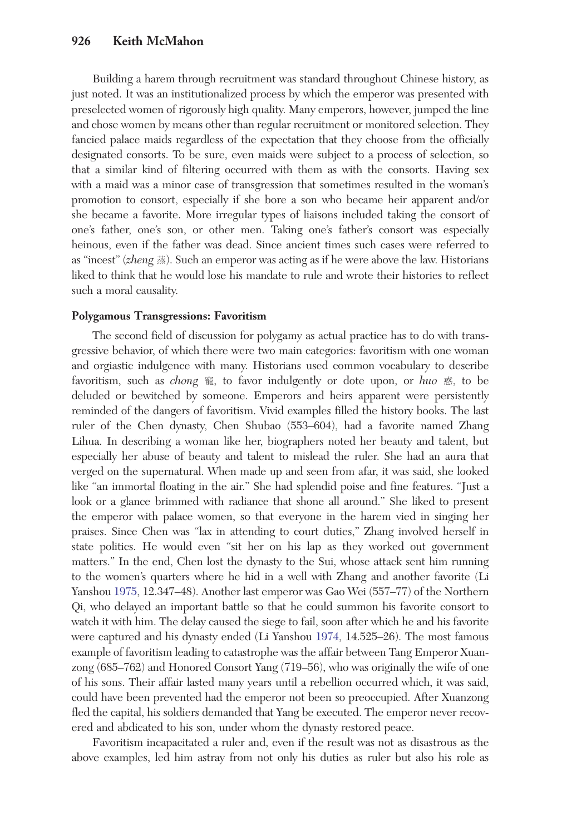Building a harem through recruitment was standard throughout Chinese history, as just noted. It was an institutionalized process by which the emperor was presented with preselected women of rigorously high quality. Many emperors, however, jumped the line and chose women by means other than regular recruitment or monitored selection. They fancied palace maids regardless of the expectation that they choose from the officially designated consorts. To be sure, even maids were subject to a process of selection, so that a similar kind of filtering occurred with them as with the consorts. Having sex with a maid was a minor case of transgression that sometimes resulted in the woman's promotion to consort, especially if she bore a son who became heir apparent and/or she became a favorite. More irregular types of liaisons included taking the consort of one's father, one's son, or other men. Taking one's father's consort was especially heinous, even if the father was dead. Since ancient times such cases were referred to as "incest" (zheng 蒸). Such an emperor was acting as if he were above the law. Historians liked to think that he would lose his mandate to rule and wrote their histories to reflect such a moral causality.

## Polygamous Transgressions: Favoritism

The second field of discussion for polygamy as actual practice has to do with transgressive behavior, of which there were two main categories: favoritism with one woman and orgiastic indulgence with many. Historians used common vocabulary to describe favoritism, such as chong 寵, to favor indulgently or dote upon, or huo 惑, to be deluded or bewitched by someone. Emperors and heirs apparent were persistently reminded of the dangers of favoritism. Vivid examples filled the history books. The last ruler of the Chen dynasty, Chen Shubao (553–604), had a favorite named Zhang Lihua. In describing a woman like her, biographers noted her beauty and talent, but especially her abuse of beauty and talent to mislead the ruler. She had an aura that verged on the supernatural. When made up and seen from afar, it was said, she looked like "an immortal floating in the air." She had splendid poise and fine features. "Just a look or a glance brimmed with radiance that shone all around." She liked to present the emperor with palace women, so that everyone in the harem vied in singing her praises. Since Chen was "lax in attending to court duties," Zhang involved herself in state politics. He would even "sit her on his lap as they worked out government matters." In the end, Chen lost the dynasty to the Sui, whose attack sent him running to the women's quarters where he hid in a well with Zhang and another favorite (Li Yanshou [1975](#page-17-0), 12.347–48). Another last emperor was Gao Wei (557–77) of the Northern Qi, who delayed an important battle so that he could summon his favorite consort to watch it with him. The delay caused the siege to fail, soon after which he and his favorite were captured and his dynasty ended (Li Yanshou [1974](#page-17-0), 14.525–26). The most famous example of favoritism leading to catastrophe was the affair between Tang Emperor Xuanzong (685–762) and Honored Consort Yang (719–56), who was originally the wife of one of his sons. Their affair lasted many years until a rebellion occurred which, it was said, could have been prevented had the emperor not been so preoccupied. After Xuanzong fled the capital, his soldiers demanded that Yang be executed. The emperor never recovered and abdicated to his son, under whom the dynasty restored peace.

Favoritism incapacitated a ruler and, even if the result was not as disastrous as the above examples, led him astray from not only his duties as ruler but also his role as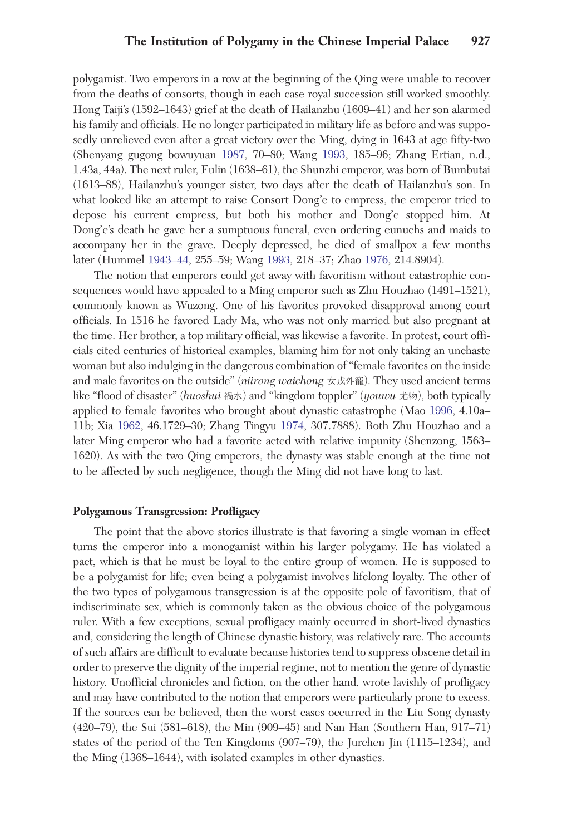polygamist. Two emperors in a row at the beginning of the Qing were unable to recover from the deaths of consorts, though in each case royal succession still worked smoothly. Hong Taiji's (1592–1643) grief at the death of Hailanzhu (1609–41) and her son alarmed his family and officials. He no longer participated in military life as before and was supposedly unrelieved even after a great victory over the Ming, dying in 1643 at age fifty-two (Shenyang gugong bowuyuan [1987](#page-18-0), 70–80; Wang [1993,](#page-18-0) 185–96; Zhang Ertian, n.d., 1.43a, 44a). The next ruler, Fulin (1638–61), the Shunzhi emperor, was born of Bumbutai (1613–88), Hailanzhu's younger sister, two days after the death of Hailanzhu's son. In what looked like an attempt to raise Consort Dong'e to empress, the emperor tried to depose his current empress, but both his mother and Dong'e stopped him. At Dong'e's death he gave her a sumptuous funeral, even ordering eunuchs and maids to accompany her in the grave. Deeply depressed, he died of smallpox a few months later (Hummel [1943](#page-17-0)–44, 255–59; Wang [1993](#page-18-0), 218–37; Zhao [1976,](#page-19-0) 214.8904).

The notion that emperors could get away with favoritism without catastrophic consequences would have appealed to a Ming emperor such as Zhu Houzhao (1491–1521), commonly known as Wuzong. One of his favorites provoked disapproval among court officials. In 1516 he favored Lady Ma, who was not only married but also pregnant at the time. Her brother, a top military official, was likewise a favorite. In protest, court officials cited centuries of historical examples, blaming him for not only taking an unchaste woman but also indulging in the dangerous combination of "female favorites on the inside and male favorites on the outside" (nürong waichong 女戎外寵). They used ancient terms like "flood of disaster" (huoshui 禍水) and "kingdom toppler" (youwu 尤物), both typically applied to female favorites who brought about dynastic catastrophe (Mao [1996](#page-17-0), 4.10a– 11b; Xia [1962](#page-18-0), 46.1729–30; Zhang Tingyu [1974](#page-19-0), 307.7888). Both Zhu Houzhao and a later Ming emperor who had a favorite acted with relative impunity (Shenzong, 1563– 1620). As with the two Qing emperors, the dynasty was stable enough at the time not to be affected by such negligence, though the Ming did not have long to last.

## Polygamous Transgression: Profligacy

The point that the above stories illustrate is that favoring a single woman in effect turns the emperor into a monogamist within his larger polygamy. He has violated a pact, which is that he must be loyal to the entire group of women. He is supposed to be a polygamist for life; even being a polygamist involves lifelong loyalty. The other of the two types of polygamous transgression is at the opposite pole of favoritism, that of indiscriminate sex, which is commonly taken as the obvious choice of the polygamous ruler. With a few exceptions, sexual profligacy mainly occurred in short-lived dynasties and, considering the length of Chinese dynastic history, was relatively rare. The accounts of such affairs are difficult to evaluate because histories tend to suppress obscene detail in order to preserve the dignity of the imperial regime, not to mention the genre of dynastic history. Unofficial chronicles and fiction, on the other hand, wrote lavishly of profligacy and may have contributed to the notion that emperors were particularly prone to excess. If the sources can be believed, then the worst cases occurred in the Liu Song dynasty (420–79), the Sui (581–618), the Min (909–45) and Nan Han (Southern Han, 917–71) states of the period of the Ten Kingdoms (907–79), the Jurchen Jin (1115–1234), and the Ming (1368–1644), with isolated examples in other dynasties.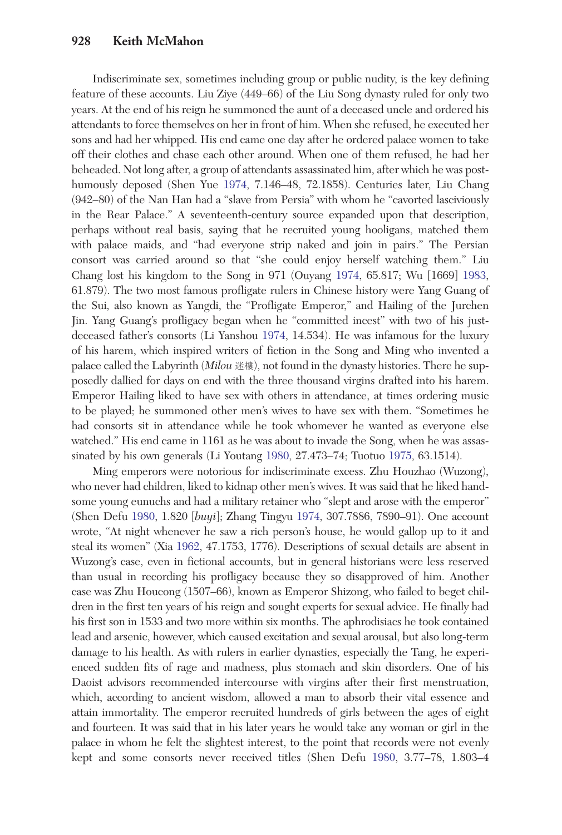Indiscriminate sex, sometimes including group or public nudity, is the key defining feature of these accounts. Liu Ziye (449–66) of the Liu Song dynasty ruled for only two years. At the end of his reign he summoned the aunt of a deceased uncle and ordered his attendants to force themselves on her in front of him. When she refused, he executed her sons and had her whipped. His end came one day after he ordered palace women to take off their clothes and chase each other around. When one of them refused, he had her beheaded. Not long after, a group of attendants assassinated him, after which he was posthumously deposed (Shen Yue [1974,](#page-18-0) 7.146–48, 72.1858). Centuries later, Liu Chang (942–80) of the Nan Han had a "slave from Persia" with whom he "cavorted lasciviously in the Rear Palace." A seventeenth-century source expanded upon that description, perhaps without real basis, saying that he recruited young hooligans, matched them with palace maids, and "had everyone strip naked and join in pairs." The Persian consort was carried around so that "she could enjoy herself watching them." Liu Chang lost his kingdom to the Song in 971 (Ouyang [1974,](#page-18-0) 65.817; Wu [1669] [1983](#page-18-0), 61.879). The two most famous profligate rulers in Chinese history were Yang Guang of the Sui, also known as Yangdi, the "Profligate Emperor," and Hailing of the Jurchen Jin. Yang Guang's profligacy began when he "committed incest" with two of his justdeceased father's consorts (Li Yanshou [1974](#page-17-0), 14.534). He was infamous for the luxury of his harem, which inspired writers of fiction in the Song and Ming who invented a palace called the Labyrinth ( $Milou$  迷樓), not found in the dynasty histories. There he supposedly dallied for days on end with the three thousand virgins drafted into his harem. Emperor Hailing liked to have sex with others in attendance, at times ordering music to be played; he summoned other men's wives to have sex with them. "Sometimes he had consorts sit in attendance while he took whomever he wanted as everyone else watched." His end came in 1161 as he was about to invade the Song, when he was assassinated by his own generals (Li Youtang [1980](#page-17-0), 27.473–74; Tuotuo [1975](#page-18-0), 63.1514).

Ming emperors were notorious for indiscriminate excess. Zhu Houzhao (Wuzong), who never had children, liked to kidnap other men's wives. It was said that he liked handsome young eunuchs and had a military retainer who "slept and arose with the emperor" (Shen Defu [1980,](#page-18-0) 1.820 [buyi]; Zhang Tingyu [1974,](#page-19-0) 307.7886, 7890–91). One account wrote, "At night whenever he saw a rich person's house, he would gallop up to it and steal its women" (Xia [1962](#page-18-0), 47.1753, 1776). Descriptions of sexual details are absent in Wuzong's case, even in fictional accounts, but in general historians were less reserved than usual in recording his profligacy because they so disapproved of him. Another case was Zhu Houcong (1507–66), known as Emperor Shizong, who failed to beget children in the first ten years of his reign and sought experts for sexual advice. He finally had his first son in 1533 and two more within six months. The aphrodisiacs he took contained lead and arsenic, however, which caused excitation and sexual arousal, but also long-term damage to his health. As with rulers in earlier dynasties, especially the Tang, he experienced sudden fits of rage and madness, plus stomach and skin disorders. One of his Daoist advisors recommended intercourse with virgins after their first menstruation, which, according to ancient wisdom, allowed a man to absorb their vital essence and attain immortality. The emperor recruited hundreds of girls between the ages of eight and fourteen. It was said that in his later years he would take any woman or girl in the palace in whom he felt the slightest interest, to the point that records were not evenly kept and some consorts never received titles (Shen Defu [1980,](#page-18-0) 3.77–78, 1.803–4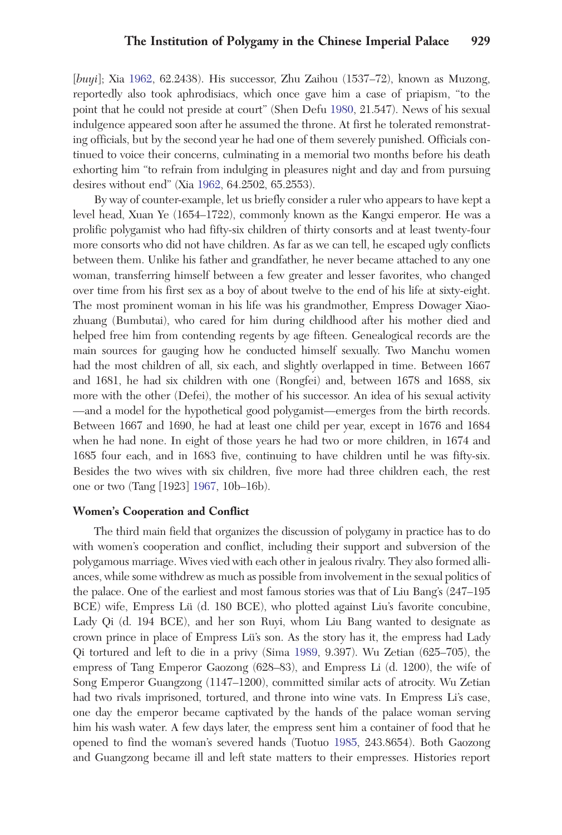[buyi]; Xia [1962](#page-18-0), 62.2438). His successor, Zhu Zaihou (1537–72), known as Muzong, reportedly also took aphrodisiacs, which once gave him a case of priapism, "to the point that he could not preside at court" (Shen Defu [1980,](#page-18-0) 21.547). News of his sexual indulgence appeared soon after he assumed the throne. At first he tolerated remonstrating officials, but by the second year he had one of them severely punished. Officials continued to voice their concerns, culminating in a memorial two months before his death exhorting him "to refrain from indulging in pleasures night and day and from pursuing desires without end" (Xia [1962](#page-18-0), 64.2502, 65.2553).

By way of counter-example, let us briefly consider a ruler who appears to have kept a level head, Xuan Ye (1654–1722), commonly known as the Kangxi emperor. He was a prolific polygamist who had fifty-six children of thirty consorts and at least twenty-four more consorts who did not have children. As far as we can tell, he escaped ugly conflicts between them. Unlike his father and grandfather, he never became attached to any one woman, transferring himself between a few greater and lesser favorites, who changed over time from his first sex as a boy of about twelve to the end of his life at sixty-eight. The most prominent woman in his life was his grandmother, Empress Dowager Xiaozhuang (Bumbutai), who cared for him during childhood after his mother died and helped free him from contending regents by age fifteen. Genealogical records are the main sources for gauging how he conducted himself sexually. Two Manchu women had the most children of all, six each, and slightly overlapped in time. Between 1667 and 1681, he had six children with one (Rongfei) and, between 1678 and 1688, six more with the other (Defei), the mother of his successor. An idea of his sexual activity —and a model for the hypothetical good polygamist—emerges from the birth records. Between 1667 and 1690, he had at least one child per year, except in 1676 and 1684 when he had none. In eight of those years he had two or more children, in 1674 and 1685 four each, and in 1683 five, continuing to have children until he was fifty-six. Besides the two wives with six children, five more had three children each, the rest one or two (Tang [1923] [1967](#page-18-0), 10b–16b).

## Women's Cooperation and Conflict

The third main field that organizes the discussion of polygamy in practice has to do with women's cooperation and conflict, including their support and subversion of the polygamous marriage. Wives vied with each other in jealous rivalry. They also formed alliances, while some withdrew as much as possible from involvement in the sexual politics of the palace. One of the earliest and most famous stories was that of Liu Bang's (247–195 BCE) wife, Empress Lü (d. 180 BCE), who plotted against Liu's favorite concubine, Lady Qi (d. 194 BCE), and her son Ruyi, whom Liu Bang wanted to designate as crown prince in place of Empress Lü's son. As the story has it, the empress had Lady Qi tortured and left to die in a privy (Sima [1989,](#page-18-0) 9.397). Wu Zetian (625–705), the empress of Tang Emperor Gaozong (628–83), and Empress Li (d. 1200), the wife of Song Emperor Guangzong (1147–1200), committed similar acts of atrocity. Wu Zetian had two rivals imprisoned, tortured, and throne into wine vats. In Empress Li's case, one day the emperor became captivated by the hands of the palace woman serving him his wash water. A few days later, the empress sent him a container of food that he opened to find the woman's severed hands (Tuotuo [1985](#page-18-0), 243.8654). Both Gaozong and Guangzong became ill and left state matters to their empresses. Histories report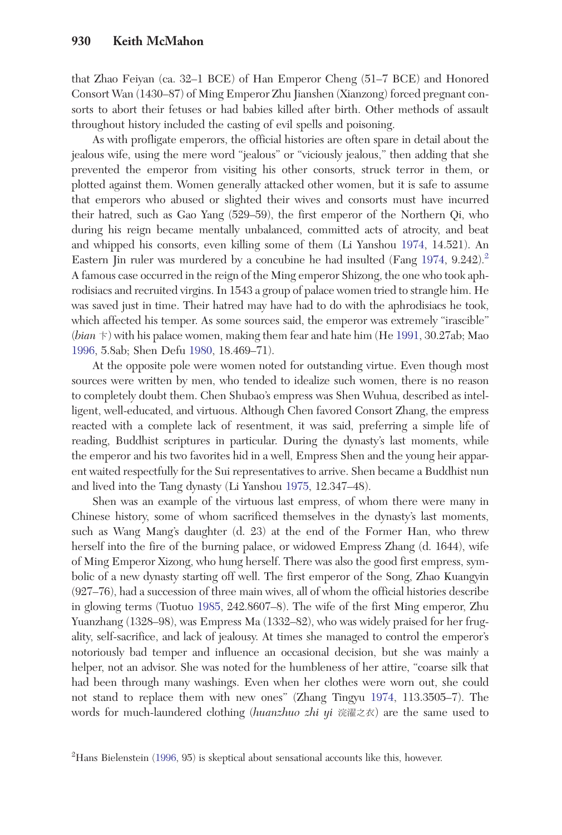that Zhao Feiyan (ca. 32–1 BCE) of Han Emperor Cheng (51–7 BCE) and Honored Consort Wan (1430–87) of Ming Emperor Zhu Jianshen (Xianzong) forced pregnant consorts to abort their fetuses or had babies killed after birth. Other methods of assault throughout history included the casting of evil spells and poisoning.

As with profligate emperors, the official histories are often spare in detail about the jealous wife, using the mere word "jealous" or "viciously jealous," then adding that she prevented the emperor from visiting his other consorts, struck terror in them, or plotted against them. Women generally attacked other women, but it is safe to assume that emperors who abused or slighted their wives and consorts must have incurred their hatred, such as Gao Yang (529–59), the first emperor of the Northern Qi, who during his reign became mentally unbalanced, committed acts of atrocity, and beat and whipped his consorts, even killing some of them (Li Yanshou [1974](#page-17-0), 14.521). An Eastern Jin ruler was murdered by a concubine he had insulted (Fang [1974](#page-17-0), 9.242).<sup>2</sup> A famous case occurred in the reign of the Ming emperor Shizong, the one who took aphrodisiacs and recruited virgins. In 1543 a group of palace women tried to strangle him. He was saved just in time. Their hatred may have had to do with the aphrodisiacs he took, which affected his temper. As some sources said, the emperor was extremely "irascible"  $(bian \tanh)$  with his palace women, making them fear and hate him (He [1991,](#page-17-0) 30.27ab; Mao [1996,](#page-17-0) 5.8ab; Shen Defu [1980](#page-18-0), 18.469–71).

At the opposite pole were women noted for outstanding virtue. Even though most sources were written by men, who tended to idealize such women, there is no reason to completely doubt them. Chen Shubao's empress was Shen Wuhua, described as intelligent, well-educated, and virtuous. Although Chen favored Consort Zhang, the empress reacted with a complete lack of resentment, it was said, preferring a simple life of reading, Buddhist scriptures in particular. During the dynasty's last moments, while the emperor and his two favorites hid in a well, Empress Shen and the young heir apparent waited respectfully for the Sui representatives to arrive. Shen became a Buddhist nun and lived into the Tang dynasty (Li Yanshou [1975](#page-17-0), 12.347–48).

Shen was an example of the virtuous last empress, of whom there were many in Chinese history, some of whom sacrificed themselves in the dynasty's last moments, such as Wang Mang's daughter (d. 23) at the end of the Former Han, who threw herself into the fire of the burning palace, or widowed Empress Zhang (d. 1644), wife of Ming Emperor Xizong, who hung herself. There was also the good first empress, symbolic of a new dynasty starting off well. The first emperor of the Song, Zhao Kuangyin (927–76), had a succession of three main wives, all of whom the official histories describe in glowing terms (Tuotuo [1985](#page-18-0), 242.8607–8). The wife of the first Ming emperor, Zhu Yuanzhang (1328–98), was Empress Ma (1332–82), who was widely praised for her frugality, self-sacrifice, and lack of jealousy. At times she managed to control the emperor's notoriously bad temper and influence an occasional decision, but she was mainly a helper, not an advisor. She was noted for the humbleness of her attire, "coarse silk that had been through many washings. Even when her clothes were worn out, she could not stand to replace them with new ones" (Zhang Tingyu [1974,](#page-19-0) 113.3505–7). The words for much-laundered clothing (huanzhuo zhi yi 浣濯之衣) are the same used to

<sup>&</sup>lt;sup>2</sup>Hans Bielenstein [\(1996,](#page-17-0) 95) is skeptical about sensational accounts like this, however.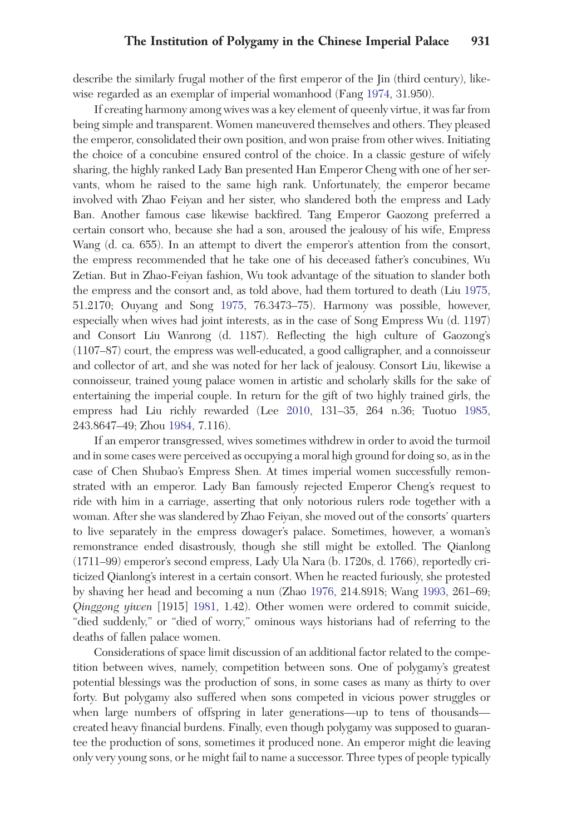describe the similarly frugal mother of the first emperor of the Jin (third century), likewise regarded as an exemplar of imperial womanhood (Fang [1974](#page-17-0), 31.950).

If creating harmony among wives was a key element of queenly virtue, it was far from being simple and transparent. Women maneuvered themselves and others. They pleased the emperor, consolidated their own position, and won praise from other wives. Initiating the choice of a concubine ensured control of the choice. In a classic gesture of wifely sharing, the highly ranked Lady Ban presented Han Emperor Cheng with one of her servants, whom he raised to the same high rank. Unfortunately, the emperor became involved with Zhao Feiyan and her sister, who slandered both the empress and Lady Ban. Another famous case likewise backfired. Tang Emperor Gaozong preferred a certain consort who, because she had a son, aroused the jealousy of his wife, Empress Wang (d. ca. 655). In an attempt to divert the emperor's attention from the consort, the empress recommended that he take one of his deceased father's concubines, Wu Zetian. But in Zhao-Feiyan fashion, Wu took advantage of the situation to slander both the empress and the consort and, as told above, had them tortured to death (Liu [1975](#page-17-0), 51.2170; Ouyang and Song [1975](#page-18-0), 76.3473–75). Harmony was possible, however, especially when wives had joint interests, as in the case of Song Empress Wu (d. 1197) and Consort Liu Wanrong (d. 1187). Reflecting the high culture of Gaozong's (1107–87) court, the empress was well-educated, a good calligrapher, and a connoisseur and collector of art, and she was noted for her lack of jealousy. Consort Liu, likewise a connoisseur, trained young palace women in artistic and scholarly skills for the sake of entertaining the imperial couple. In return for the gift of two highly trained girls, the empress had Liu richly rewarded (Lee [2010](#page-17-0), 131–35, 264 n.36; Tuotuo [1985](#page-18-0), 243.8647–49; Zhou [1984,](#page-19-0) 7.116).

If an emperor transgressed, wives sometimes withdrew in order to avoid the turmoil and in some cases were perceived as occupying a moral high ground for doing so, as in the case of Chen Shubao's Empress Shen. At times imperial women successfully remonstrated with an emperor. Lady Ban famously rejected Emperor Cheng's request to ride with him in a carriage, asserting that only notorious rulers rode together with a woman. After she was slandered by Zhao Feiyan, she moved out of the consorts' quarters to live separately in the empress dowager's palace. Sometimes, however, a woman's remonstrance ended disastrously, though she still might be extolled. The Qianlong (1711–99) emperor's second empress, Lady Ula Nara (b. 1720s, d. 1766), reportedly criticized Qianlong's interest in a certain consort. When he reacted furiously, she protested by shaving her head and becoming a nun (Zhao [1976,](#page-19-0) 214.8918; Wang [1993](#page-18-0), 261–69; Qinggong yiwen [1915] [1981](#page-18-0), 1.42). Other women were ordered to commit suicide, "died suddenly," or "died of worry," ominous ways historians had of referring to the deaths of fallen palace women.

Considerations of space limit discussion of an additional factor related to the competition between wives, namely, competition between sons. One of polygamy's greatest potential blessings was the production of sons, in some cases as many as thirty to over forty. But polygamy also suffered when sons competed in vicious power struggles or when large numbers of offspring in later generations—up to tens of thousands created heavy financial burdens. Finally, even though polygamy was supposed to guarantee the production of sons, sometimes it produced none. An emperor might die leaving only very young sons, or he might fail to name a successor. Three types of people typically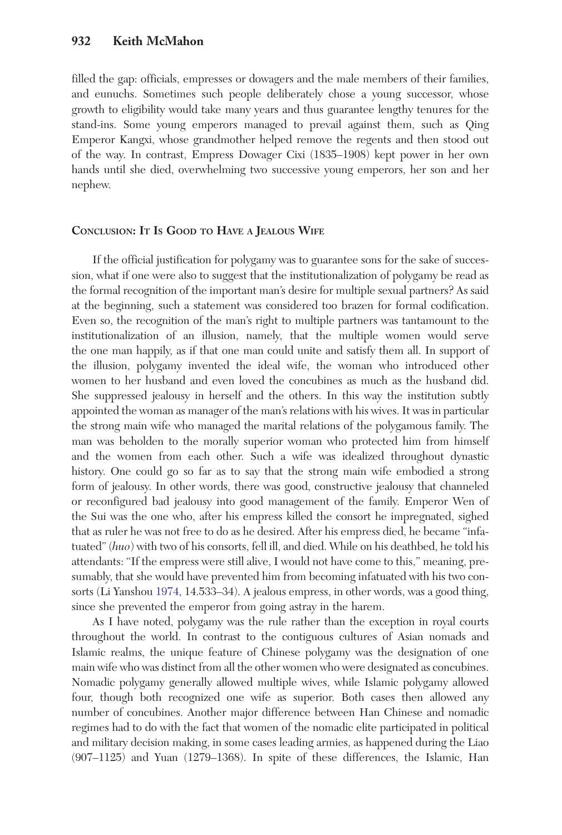filled the gap: officials, empresses or dowagers and the male members of their families, and eunuchs. Sometimes such people deliberately chose a young successor, whose growth to eligibility would take many years and thus guarantee lengthy tenures for the stand-ins. Some young emperors managed to prevail against them, such as Qing Emperor Kangxi, whose grandmother helped remove the regents and then stood out of the way. In contrast, Empress Dowager Cixi (1835–1908) kept power in her own hands until she died, overwhelming two successive young emperors, her son and her nephew.

#### CONCLUSION: IT IS GOOD TO HAVE A JEALOUS WIFE

If the official justification for polygamy was to guarantee sons for the sake of succession, what if one were also to suggest that the institutionalization of polygamy be read as the formal recognition of the important man's desire for multiple sexual partners? As said at the beginning, such a statement was considered too brazen for formal codification. Even so, the recognition of the man's right to multiple partners was tantamount to the institutionalization of an illusion, namely, that the multiple women would serve the one man happily, as if that one man could unite and satisfy them all. In support of the illusion, polygamy invented the ideal wife, the woman who introduced other women to her husband and even loved the concubines as much as the husband did. She suppressed jealousy in herself and the others. In this way the institution subtly appointed the woman as manager of the man's relations with his wives. It was in particular the strong main wife who managed the marital relations of the polygamous family. The man was beholden to the morally superior woman who protected him from himself and the women from each other. Such a wife was idealized throughout dynastic history. One could go so far as to say that the strong main wife embodied a strong form of jealousy. In other words, there was good, constructive jealousy that channeled or reconfigured bad jealousy into good management of the family. Emperor Wen of the Sui was the one who, after his empress killed the consort he impregnated, sighed that as ruler he was not free to do as he desired. After his empress died, he became "infatuated" (huo) with two of his consorts, fell ill, and died. While on his deathbed, he told his attendants: "If the empress were still alive, I would not have come to this," meaning, presumably, that she would have prevented him from becoming infatuated with his two consorts (Li Yanshou [1974](#page-17-0), 14.533–34). A jealous empress, in other words, was a good thing, since she prevented the emperor from going astray in the harem.

As I have noted, polygamy was the rule rather than the exception in royal courts throughout the world. In contrast to the contiguous cultures of Asian nomads and Islamic realms, the unique feature of Chinese polygamy was the designation of one main wife who was distinct from all the other women who were designated as concubines. Nomadic polygamy generally allowed multiple wives, while Islamic polygamy allowed four, though both recognized one wife as superior. Both cases then allowed any number of concubines. Another major difference between Han Chinese and nomadic regimes had to do with the fact that women of the nomadic elite participated in political and military decision making, in some cases leading armies, as happened during the Liao (907–1125) and Yuan (1279–1368). In spite of these differences, the Islamic, Han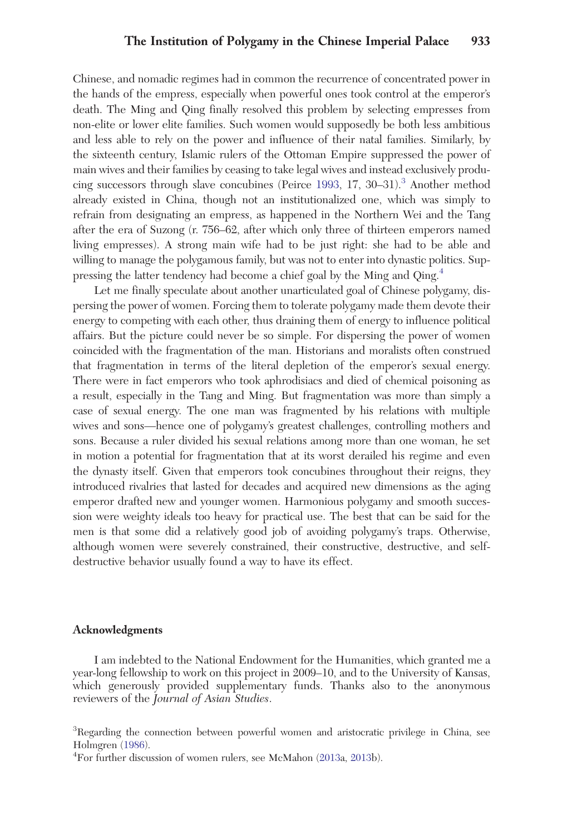Chinese, and nomadic regimes had in common the recurrence of concentrated power in the hands of the empress, especially when powerful ones took control at the emperor's death. The Ming and Qing finally resolved this problem by selecting empresses from non-elite or lower elite families. Such women would supposedly be both less ambitious and less able to rely on the power and influence of their natal families. Similarly, by the sixteenth century, Islamic rulers of the Ottoman Empire suppressed the power of main wives and their families by ceasing to take legal wives and instead exclusively produ-cing successors through slave concubines (Peirce [1993,](#page-18-0) 17, 30–31).<sup>3</sup> Another method already existed in China, though not an institutionalized one, which was simply to refrain from designating an empress, as happened in the Northern Wei and the Tang after the era of Suzong (r. 756–62, after which only three of thirteen emperors named living empresses). A strong main wife had to be just right: she had to be able and willing to manage the polygamous family, but was not to enter into dynastic politics. Suppressing the latter tendency had become a chief goal by the Ming and Qing.<sup>4</sup>

Let me finally speculate about another unarticulated goal of Chinese polygamy, dispersing the power of women. Forcing them to tolerate polygamy made them devote their energy to competing with each other, thus draining them of energy to influence political affairs. But the picture could never be so simple. For dispersing the power of women coincided with the fragmentation of the man. Historians and moralists often construed that fragmentation in terms of the literal depletion of the emperor's sexual energy. There were in fact emperors who took aphrodisiacs and died of chemical poisoning as a result, especially in the Tang and Ming. But fragmentation was more than simply a case of sexual energy. The one man was fragmented by his relations with multiple wives and sons—hence one of polygamy's greatest challenges, controlling mothers and sons. Because a ruler divided his sexual relations among more than one woman, he set in motion a potential for fragmentation that at its worst derailed his regime and even the dynasty itself. Given that emperors took concubines throughout their reigns, they introduced rivalries that lasted for decades and acquired new dimensions as the aging emperor drafted new and younger women. Harmonious polygamy and smooth succession were weighty ideals too heavy for practical use. The best that can be said for the men is that some did a relatively good job of avoiding polygamy's traps. Otherwise, although women were severely constrained, their constructive, destructive, and selfdestructive behavior usually found a way to have its effect.

#### Acknowledgments

I am indebted to the National Endowment for the Humanities, which granted me a year-long fellowship to work on this project in 2009–10, and to the University of Kansas, which generously provided supplementary funds. Thanks also to the anonymous reviewers of the Journal of Asian Studies.

<sup>3</sup>Regarding the connection between powerful women and aristocratic privilege in China, see Holmgren ([1986\)](#page-17-0). <sup>4</sup>

For further discussion of women rulers, see McMahon ([2013a](#page-18-0), [2013](#page-18-0)b).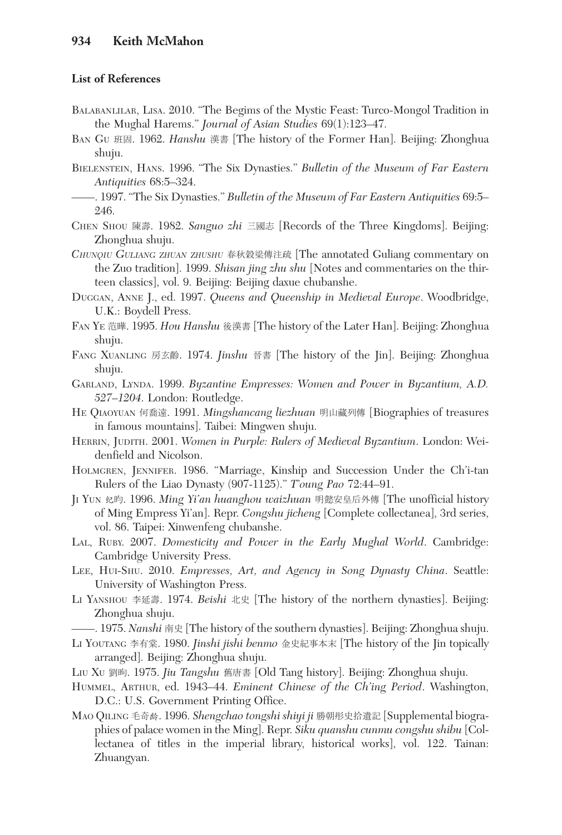## <span id="page-17-0"></span>List of References

- BALABANLILAR, LISA. 2010. "The Begims of the Mystic Feast: Turco-Mongol Tradition in the Mughal Harems." Journal of Asian Studies 69(1):123–47.
- BAN GU 班固. 1962. Hanshu 漢書 [The history of the Former Han]. Beijing: Zhonghua shuju.
- BIELENSTEIN, HANS. 1996. "The Six Dynasties." Bulletin of the Museum of Far Eastern Antiquities 68:5–324.
- ——. 1997. "The Six Dynasties." Bulletin of the Museum of Far Eastern Antiquities 69:5– 246.
- CHEN SHOU 陳壽. 1982. Sanguo zhi 三國志 [Records of the Three Kingdoms]. Beijing: Zhonghua shuju.
- CHUNQIU GULIANG ZHUAN ZHUSHU 春秋榖梁傳注疏 [The annotated Guliang commentary on the Zuo tradition]. 1999. Shisan jing zhu shu [Notes and commentaries on the thirteen classics], vol. 9. Beijing: Beijing daxue chubanshe.
- DUGGAN, ANNE J., ed. 1997. Queens and Queenship in Medieval Europe. Woodbridge, U.K.: Boydell Press.
- FAN YE 范曄. 1995. Hou Hanshu 後漢書 [The history of the Later Han]. Beijing: Zhonghua shuju.
- FANG XUANLING 房玄齡. 1974. Jinshu 晉書 [The history of the Jin]. Beijing: Zhonghua shuju.
- GARLAND, LYNDA. 1999. Byzantine Empresses: Women and Power in Byzantium, A.D. 527–1204. London: Routledge.
- HE QIAOYUAN 何喬遠. 1991. Mingshancang liezhuan 明山藏列傳 [Biographies of treasures in famous mountains]. Taibei: Mingwen shuju.
- HERRIN, JUDITH. 2001. Women in Purple: Rulers of Medieval Byzantium. London: Weidenfield and Nicolson.
- HOLMGREN, JENNIFER. 1986. "Marriage, Kinship and Succession Under the Ch'i-tan Rulers of the Liao Dynasty (907-1125)." T'oung Pao 72:44–91.
- JI YUN 纪昀. 1996. Ming Yi'an huanghou waizhuan 明懿安皇后外傳 [The unofficial history of Ming Empress Yi'an]. Repr. Congshu jicheng [Complete collectanea], 3rd series, vol. 86. Taipei: Xinwenfeng chubanshe.
- LAL, RUBY. 2007. Domesticity and Power in the Early Mughal World. Cambridge: Cambridge University Press.
- LEE, HUI-SHU. 2010. Empresses, Art, and Agency in Song Dynasty China. Seattle: University of Washington Press.
- LI YANSHOU 李延壽. 1974. Beishi 北史 [The history of the northern dynasties]. Beijing: Zhonghua shuju.
- ——. 1975. Nanshi 南史 [The history of the southern dynasties]. Beijing: Zhonghua shuju.
- LI YOUTANG 李有棠. 1980. Jinshi jishi benmo 金史紀事本末 [The history of the Jin topically arranged]. Beijing: Zhonghua shuju.
- LIU XU 劉昫. 1975. Jiu Tangshu 舊唐書 [Old Tang history]. Beijing: Zhonghua shuju.
- HUMMEL, ARTHUR, ed. 1943–44. Eminent Chinese of the Ch'ing Period. Washington, D.C.: U.S. Government Printing Office.
- MAO QILING 毛奇龄. 1996. Shengchao tongshi shiyi ji 勝朝彤史拾遺記 [Supplemental biographies of palace women in the Ming]. Repr. Siku quanshu cunmu congshu shibu [Collectanea of titles in the imperial library, historical works], vol. 122. Tainan: Zhuangyan.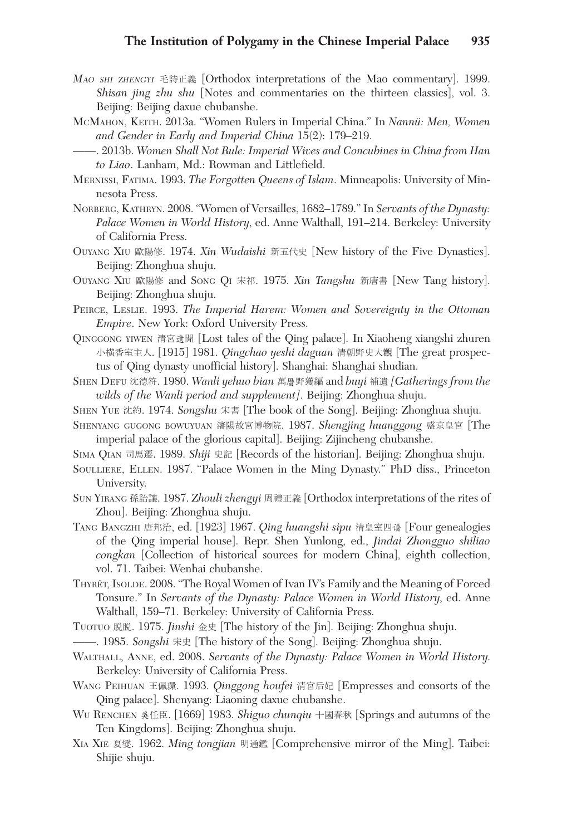- <span id="page-18-0"></span>MAO SHI ZHENGYI 毛詩正義 [Orthodox interpretations of the Mao commentary]. 1999. Shisan jing zhu shu [Notes and commentaries on the thirteen classics], vol. 3. Beijing: Beijing daxue chubanshe.
- MCMAHON, KEITH. 2013a. "Women Rulers in Imperial China." In Nannü: Men, Women and Gender in Early and Imperial China 15(2): 179–219.
- ——. 2013b. Women Shall Not Rule: Imperial Wives and Concubines in China from Han to Liao. Lanham, Md.: Rowman and Littlefield.
- MERNISSI, FATIMA. 1993. The Forgotten Queens of Islam. Minneapolis: University of Minnesota Press.
- NORBERG, KATHRYN. 2008. "Women of Versailles, 1682–1789." In Servants of the Dynasty: Palace Women in World History, ed. Anne Walthall, 191–214. Berkeley: University of California Press.
- OUYANG XIU 歐陽修. 1974. Xin Wudaishi 新五代史 [New history of the Five Dynasties]. Beijing: Zhonghua shuju.
- OUYANG XIU 歐陽修 and SONG QI 宋祁. 1975. Xin Tangshu 新唐書 [New Tang history]. Beijing: Zhonghua shuju.
- PEIRCE, LESLIE. 1993. The Imperial Harem: Women and Sovereignty in the Ottoman Empire. New York: Oxford University Press.
- QINGGONG YIWEN 清宮遗聞 [Lost tales of the Qing palace]. In Xiaoheng xiangshi zhuren 小横香室主人. [1915] 1981. *Qingchao yeshi daguan* 清朝野史大觀 [The great prospectus of Qing dynasty unofficial history]. Shanghai: Shanghai shudian.
- SHEN DEFU 沈德符. 1980. Wanli yehuo bian 萬曆野獲編 and buyi 補遺 [Gatherings from the wilds of the Wanli period and supplement]. Beijing: Zhonghua shuju.
- SHEN YUE 沈約. 1974. Songshu 宋書 [The book of the Song]. Beijing: Zhonghua shuju.
- SHENYANG GUGONG BOWUYUAN 瀋陽故宮博物院. 1987. Shengjing huanggong 盛京皇宮 [The imperial palace of the glorious capital]. Beijing: Zijincheng chubanshe.
- SIMA QIAN 司馬遷. 1989. Shiji 史記 [Records of the historian]. Beijing: Zhonghua shuju.
- SOULLIERE, ELLEN. 1987. "Palace Women in the Ming Dynasty." PhD diss., Princeton University.
- SUN YIRANG 孫詒讓. 1987. Zhouli zhengyi 周禮正義 [Orthodox interpretations of the rites of Zhou]. Beijing: Zhonghua shuju.
- TANG BANGZHI 唐邦治, ed. [1923] 1967. *Qing huangshi sipu* 清皇室四谱 [Four genealogies of the Qing imperial house]. Repr. Shen Yunlong, ed., Jindai Zhongguo shiliao congkan [Collection of historical sources for modern China], eighth collection, vol. 71. Taibei: Wenhai chubanshe.
- THYRÊT, ISOLDE. 2008. "The Royal Women of Ivan IV's Family and the Meaning of Forced Tonsure." In Servants of the Dynasty: Palace Women in World History, ed. Anne Walthall, 159–71. Berkeley: University of California Press.
- Tuoruo 脱脱. 1975. *Jinshi* 金史 [The history of the Jin]. Beijing: Zhonghua shuju. **——.** 1985. Songshi 宋史 [The history of the Song]. Beijing: Zhonghua shuju.
- WALTHALL, ANNE, ed. 2008. Servants of the Dynasty: Palace Women in World History. Berkeley: University of California Press.
- WANG PEIHUAN 王佩環. 1993. *Qinggong houfei* 清宮后妃 [Empresses and consorts of the Qing palace]. Shenyang: Liaoning daxue chubanshe.
- WU RENCHEN 吳任臣. [1669] 1983. Shiguo chunqiu +國春秋 [Springs and autumns of the Ten Kingdoms]. Beijing: Zhonghua shuju.
- XIA XIE 夏燮. 1962. Ming tongjian 明通鑑 [Comprehensive mirror of the Ming]. Taibei: Shijie shuju.